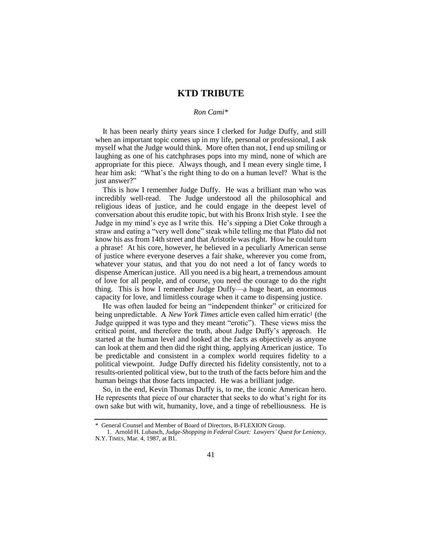## **KTD TRIBUTE**

## *Ron Cami\**

It has been nearly thirty years since I clerked for Judge Duffy, and still when an important topic comes up in my life, personal or professional, I ask myself what the Judge would think. More often than not, I end up smiling or laughing as one of his catchphrases pops into my mind, none of which are appropriate for this piece. Always though, and I mean every single time, I hear him ask: "What's the right thing to do on a human level? What is the just answer?"

This is how I remember Judge Duffy. He was a brilliant man who was incredibly well-read. The Judge understood all the philosophical and religious ideas of justice, and he could engage in the deepest level of conversation about this erudite topic, but with his Bronx Irish style. I see the Judge in my mind's eye as I write this. He's sipping a Diet Coke through a straw and eating a "very well done" steak while telling me that Plato did not know his ass from 14th street and that Aristotle was right. How he could turn a phrase! At his core, however, he believed in a peculiarly American sense of justice where everyone deserves a fair shake, wherever you come from, whatever your status, and that you do not need a lot of fancy words to dispense American justice. All you need is a big heart, a tremendous amount of love for all people, and of course, you need the courage to do the right thing. This is how I remember Judge Duffy—a huge heart, an enormous capacity for love, and limitless courage when it came to dispensing justice.

He was often lauded for being an "independent thinker" or criticized for being unpredictable. A *New York Times* article even called him erratic1 (the Judge quipped it was typo and they meant "erotic"). These views miss the critical point, and therefore the truth, about Judge Duffy's approach. He started at the human level and looked at the facts as objectively as anyone can look at them and then did the right thing, applying American justice. To be predictable and consistent in a complex world requires fidelity to a political viewpoint. Judge Duffy directed his fidelity consistently, not to a results-oriented political view, but to the truth of the facts before him and the human beings that those facts impacted. He was a brilliant judge.

So, in the end, Kevin Thomas Duffy is, to me, the iconic American hero. He represents that piece of our character that seeks to do what's right for its own sake but with wit, humanity, love, and a tinge of rebelliousness. He is

<sup>\*</sup> General Counsel and Member of Board of Directors, B-FLEXION Group.

<sup>1.</sup> Arnold H. Lubasch, *Judge-Shopping in Federal Court: Lawyers' Quest for Leniency*, N.Y. TIMES, Mar. 4, 1987, at B1.